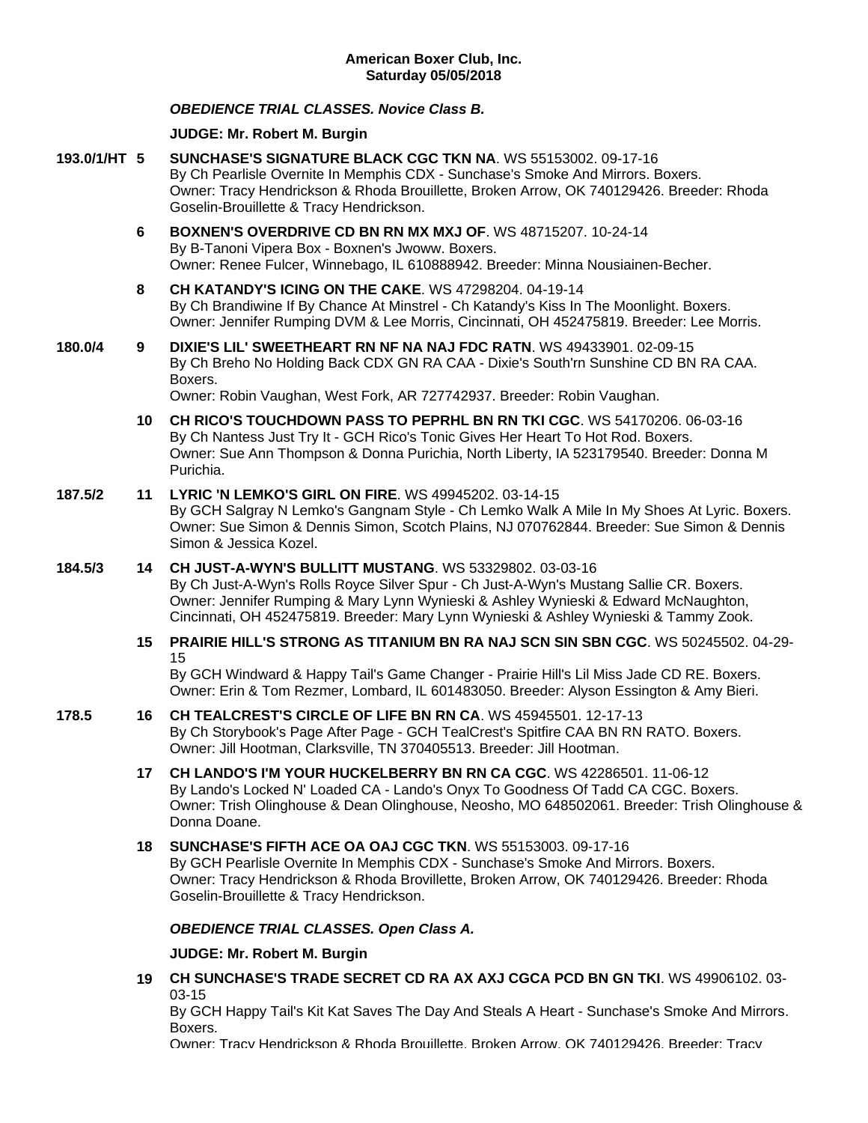# *OBEDIENCE TRIAL CLASSES. Novice Class B.*

### **JUDGE: [Mr. Robert M. Burgin](http://www.infodog.com/show/judge/jdgprofile.htm?jn=18811)**

- **193.0/1/HT 5 [SUNCHASE'S SIGNATURE BLACK CGC TKN NA](http://www.infodog.com/my/drlookup2.htm?makc=WS%2055153002&mdog=Sunchase%27s+Signature+Black+CGC+TKN+NA&wins=all)**. WS 55153002. 09-17-16 By Ch Pearlisle Overnite In Memphis CDX - Sunchase's Smoke And Mirrors. Boxers. Owner: Tracy Hendrickson & Rhoda Brouillette, Broken Arrow, OK 740129426. Breeder: Rhoda Goselin-Brouillette & Tracy Hendrickson.
	- **6 [BOXNEN'S OVERDRIVE CD BN RN MX MXJ OF](http://www.infodog.com/my/drlookup2.htm?makc=WS%2048715207&mdog=Boxnen%27s+Overdrive+CD+BN+RN+MX+MXJ+OF&wins=all)**. WS 48715207. 10-24-14 By B-Tanoni Vipera Box - Boxnen's Jwoww. Boxers. Owner: Renee Fulcer, Winnebago, IL 610888942. Breeder: Minna Nousiainen-Becher.
	- **8 [CH KATANDY'S ICING ON THE CAKE](http://www.infodog.com/my/drlookup2.htm?makc=WS%2047298204&mdog=Ch+Katandy%27s+Icing+On+The+Cake&wins=all)**. WS 47298204. 04-19-14 By Ch Brandiwine If By Chance At Minstrel - Ch Katandy's Kiss In The Moonlight. Boxers. Owner: Jennifer Rumping DVM & Lee Morris, Cincinnati, OH 452475819. Breeder: Lee Morris.
- **180.0/4 9 [DIXIE'S LIL' SWEETHEART RN NF NA NAJ FDC RATN](http://www.infodog.com/my/drlookup2.htm?makc=WS%2049433901&mdog=Dixie%27s+Lil%27+Sweetheart+RN+NF+NA+NAJ+FDC+RATN&wins=all)**. WS 49433901. 02-09-15 By Ch Breho No Holding Back CDX GN RA CAA - Dixie's South'rn Sunshine CD BN RA CAA. Boxers.

Owner: Robin Vaughan, West Fork, AR 727742937. Breeder: Robin Vaughan.

**10 [CH RICO'S TOUCHDOWN PASS TO PEPRHL BN RN TKI CGC](http://www.infodog.com/my/drlookup2.htm?makc=WS%2054170206&mdog=Ch+Rico%27s+Touchdown+Pass+To+Peprhl+BN+RN+TKI+CGC&wins=all)**. WS 54170206. 06-03-16 By Ch Nantess Just Try It - GCH Rico's Tonic Gives Her Heart To Hot Rod. Boxers. Owner: Sue Ann Thompson & Donna Purichia, North Liberty, IA 523179540. Breeder: Donna M Purichia.

### **187.5/2 11 [LYRIC 'N LEMKO'S GIRL ON FIRE](http://www.infodog.com/my/drlookup2.htm?makc=WS%2049945202&mdog=Lyric+%27N+Lemko%27s+Girl+On+Fire&wins=all)**. WS 49945202. 03-14-15

By GCH Salgray N Lemko's Gangnam Style - Ch Lemko Walk A Mile In My Shoes At Lyric. Boxers. Owner: Sue Simon & Dennis Simon, Scotch Plains, NJ 070762844. Breeder: Sue Simon & Dennis Simon & Jessica Kozel.

### **184.5/3 14 [CH JUST-A-WYN'S BULLITT MUSTANG](http://www.infodog.com/my/drlookup2.htm?makc=WS%2053329802&mdog=Ch+Just-A-Wyn%27s+Bullitt+Mustang&wins=all)**. WS 53329802. 03-03-16

By Ch Just-A-Wyn's Rolls Royce Silver Spur - Ch Just-A-Wyn's Mustang Sallie CR. Boxers. Owner: Jennifer Rumping & Mary Lynn Wynieski & Ashley Wynieski & Edward McNaughton, Cincinnati, OH 452475819. Breeder: Mary Lynn Wynieski & Ashley Wynieski & Tammy Zook.

# **15 [PRAIRIE HILL'S STRONG AS TITANIUM BN RA NAJ SCN SIN SBN CGC](http://www.infodog.com/my/drlookup2.htm?makc=WS%2050245502&mdog=Prairie+Hill%27s+Strong+As+Titanium+BN+RA+NAJ+SCN+SIN+SBN+CGC&wins=all)**. WS 50245502. 04-29- 15

By GCH Windward & Happy Tail's Game Changer - Prairie Hill's Lil Miss Jade CD RE. Boxers. Owner: Erin & Tom Rezmer, Lombard, IL 601483050. Breeder: Alyson Essington & Amy Bieri.

#### **178.5 16 [CH TEALCREST'S CIRCLE OF LIFE BN RN CA](http://www.infodog.com/my/drlookup2.htm?makc=WS%2045945501&mdog=Ch+TealCrest%27s+Circle+Of+Life+BN+RN+CA&wins=all)**. WS 45945501. 12-17-13 By Ch Storybook's Page After Page - GCH TealCrest's Spitfire CAA BN RN RATO. Boxers. Owner: Jill Hootman, Clarksville, TN 370405513. Breeder: Jill Hootman.

- **17 [CH LANDO'S I'M YOUR HUCKELBERRY BN RN CA CGC](http://www.infodog.com/my/drlookup2.htm?makc=WS%2042286501&mdog=Ch+Lando%27s+I%27m+Your+Huckelberry+BN+RN+CA+CGC&wins=all)**. WS 42286501. 11-06-12 By Lando's Locked N' Loaded CA - Lando's Onyx To Goodness Of Tadd CA CGC. Boxers. Owner: Trish Olinghouse & Dean Olinghouse, Neosho, MO 648502061. Breeder: Trish Olinghouse & Donna Doane.
- **18 [SUNCHASE'S FIFTH ACE OA OAJ CGC TKN](http://www.infodog.com/my/drlookup2.htm?makc=WS%2055153003&mdog=Sunchase%27s+Fifth+Ace+OA+OAJ+CGC+TKN&wins=all)**. WS 55153003. 09-17-16 By GCH Pearlisle Overnite In Memphis CDX - Sunchase's Smoke And Mirrors. Boxers. Owner: Tracy Hendrickson & Rhoda Brovillette, Broken Arrow, OK 740129426. Breeder: Rhoda Goselin-Brouillette & Tracy Hendrickson.

# *OBEDIENCE TRIAL CLASSES. Open Class A.*

### **JUDGE: [Mr. Robert M. Burgin](http://www.infodog.com/show/judge/jdgprofile.htm?jn=18811)**

**19 [CH SUNCHASE'S TRADE SECRET CD RA AX AXJ CGCA PCD BN GN TKI](http://www.infodog.com/my/drlookup2.htm?makc=WS%2049906102&mdog=Ch+Sunchase%27s+Trade+Secret+CD+RA+AX+AXJ+CGCA+PCD+BN+GN+TKI&wins=all)**. WS 49906102. 03- 03-15

By GCH Happy Tail's Kit Kat Saves The Day And Steals A Heart - Sunchase's Smoke And Mirrors. Boxers.

Owner: Tracy Hendrickson & Rhoda Brouillette, Broken Arrow, OK 740129426. Breeder: Tracy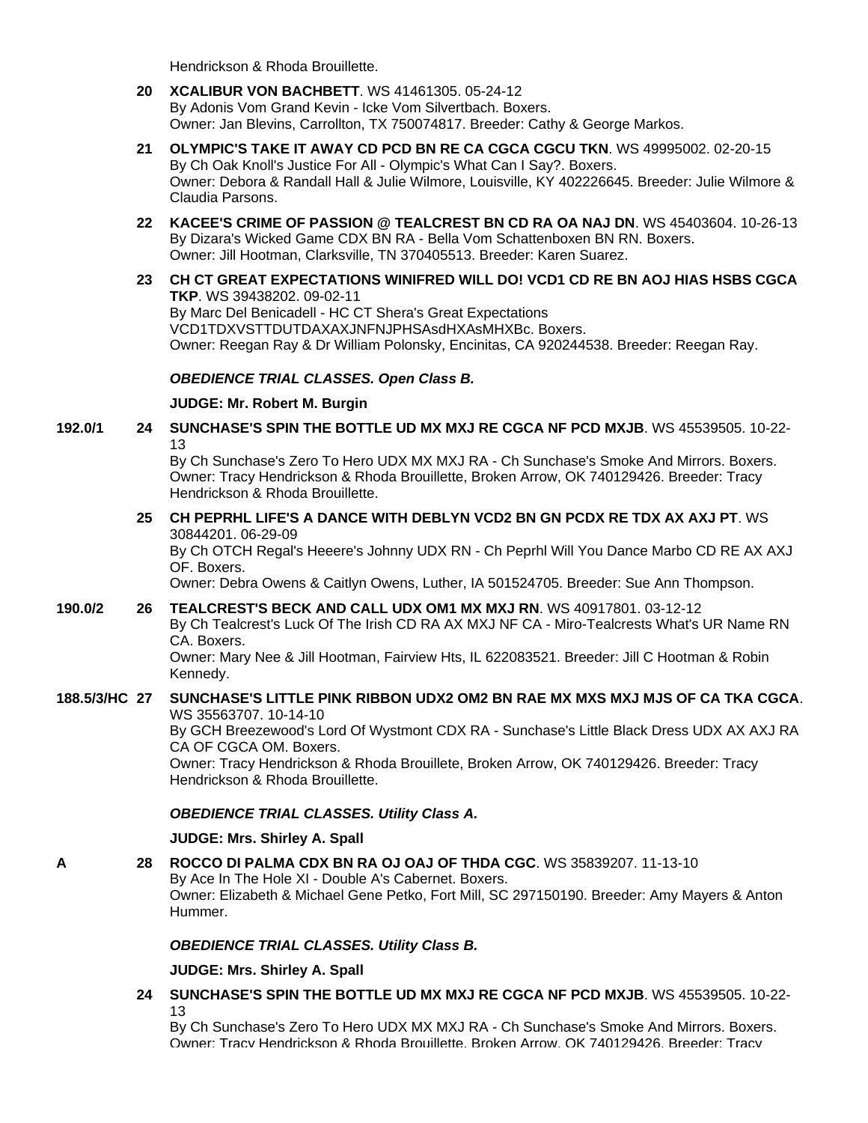Hendrickson & Rhoda Brouillette.

- **20 [XCALIBUR VON BACHBETT](http://www.infodog.com/my/drlookup2.htm?makc=WS%2041461305&mdog=Xcalibur+Von+Bachbett&wins=all)**. WS 41461305. 05-24-12 By Adonis Vom Grand Kevin - Icke Vom Silvertbach. Boxers. Owner: Jan Blevins, Carrollton, TX 750074817. Breeder: Cathy & George Markos.
- **21 [OLYMPIC'S TAKE IT AWAY CD PCD BN RE CA CGCA CGCU TKN](http://www.infodog.com/my/drlookup2.htm?makc=WS%2049995002&mdog=Olympic%27s+Take+It+Away+CD+PCD+BN+RE+CA+CGCA+CGCU+TKN&wins=all)**. WS 49995002. 02-20-15 By Ch Oak Knoll's Justice For All - Olympic's What Can I Say?. Boxers. Owner: Debora & Randall Hall & Julie Wilmore, Louisville, KY 402226645. Breeder: Julie Wilmore & Claudia Parsons.
- **22 [KACEE'S CRIME OF PASSION @ TEALCREST BN CD RA OA NAJ DN](http://www.infodog.com/my/drlookup2.htm?makc=WS%2045403604&mdog=KaCee%27s+Crime+Of+Passion+@+Tealcrest+BN+CD+RA+OA+NAJ+DN&wins=all)**. WS 45403604. 10-26-13 By Dizara's Wicked Game CDX BN RA - Bella Vom Schattenboxen BN RN. Boxers. Owner: Jill Hootman, Clarksville, TN 370405513. Breeder: Karen Suarez.
- **23 [CH CT GREAT EXPECTATIONS WINIFRED WILL DO! VCD1 CD RE BN AOJ HIAS HSBS CGCA](http://www.infodog.com/my/drlookup2.htm?makc=WS%2039438202&mdog=Ch+CT+Great+Expectations+Winifred+Will+Do!+VCD1+CD+RE+BN+AOJ+HIAs+HSBs+CGCA+TKP&wins=all)  [TKP](http://www.infodog.com/my/drlookup2.htm?makc=WS%2039438202&mdog=Ch+CT+Great+Expectations+Winifred+Will+Do!+VCD1+CD+RE+BN+AOJ+HIAs+HSBs+CGCA+TKP&wins=all)**. WS 39438202. 09-02-11 By Marc Del Benicadell - HC CT Shera's Great Expectations VCD1TDXVSTTDUTDAXAXJNFNJPHSAsdHXAsMHXBc. Boxers. Owner: Reegan Ray & Dr William Polonsky, Encinitas, CA 920244538. Breeder: Reegan Ray.

# *OBEDIENCE TRIAL CLASSES. Open Class B.*

### **JUDGE: [Mr. Robert M. Burgin](http://www.infodog.com/show/judge/jdgprofile.htm?jn=18811)**

**192.0/1 24 [SUNCHASE'S SPIN THE BOTTLE UD MX MXJ RE CGCA NF PCD MXJB](http://www.infodog.com/my/drlookup2.htm?makc=WS%2045539505&mdog=Sunchase%27s+Spin+The+Bottle+UD+MX+MXJ+RE+CGCA+NF+PCD+MXJB&wins=all)**. WS 45539505. 10-22- 13

> By Ch Sunchase's Zero To Hero UDX MX MXJ RA - Ch Sunchase's Smoke And Mirrors. Boxers. Owner: Tracy Hendrickson & Rhoda Brouillette, Broken Arrow, OK 740129426. Breeder: Tracy Hendrickson & Rhoda Brouillette.

#### **25 [CH PEPRHL LIFE'S A DANCE WITH DEBLYN VCD2 BN GN PCDX RE TDX AX AXJ PT](http://www.infodog.com/my/drlookup2.htm?makc=WS%2030844201&mdog=Ch+Peprhl+Life%27s+A+Dance+With+DebLyn+VCD2+BN+GN+PCDX+RE+TDX+AX+AXJ+PT&wins=all)**. WS 30844201. 06-29-09

By Ch OTCH Regal's Heeere's Johnny UDX RN - Ch Peprhl Will You Dance Marbo CD RE AX AXJ OF. Boxers.

Owner: Debra Owens & Caitlyn Owens, Luther, IA 501524705. Breeder: Sue Ann Thompson.

# **190.0/2 26 [TEALCREST'S BECK AND CALL UDX OM1 MX MXJ RN](http://www.infodog.com/my/drlookup2.htm?makc=WS%2040917801&mdog=Tealcrest%27s+Beck+And+Call+UDX+OM1+MX+MXJ+RN&wins=all)**. WS 40917801. 03-12-12

By Ch Tealcrest's Luck Of The Irish CD RA AX MXJ NF CA - Miro-Tealcrests What's UR Name RN CA. Boxers.

Owner: Mary Nee & Jill Hootman, Fairview Hts, IL 622083521. Breeder: Jill C Hootman & Robin Kennedy.

#### **188.5/3/HC 27 [SUNCHASE'S LITTLE PINK RIBBON UDX2 OM2 BN RAE MX MXS MXJ MJS OF CA TKA CGCA](http://www.infodog.com/my/drlookup2.htm?makc=WS%2035563707&mdog=Sunchase%27s+Little+Pink+Ribbon+UDX2+OM2+BN+RAE+MX+MXS+MXJ+MJS+OF+CA+TKA+CGCA&wins=all)**. WS 35563707. 10-14-10

By GCH Breezewood's Lord Of Wystmont CDX RA - Sunchase's Little Black Dress UDX AX AXJ RA CA OF CGCA OM. Boxers.

Owner: Tracy Hendrickson & Rhoda Brouillete, Broken Arrow, OK 740129426. Breeder: Tracy Hendrickson & Rhoda Brouillette.

*OBEDIENCE TRIAL CLASSES. Utility Class A.*

### **JUDGE: [Mrs. Shirley A. Spall](http://www.infodog.com/show/judge/jdgprofile.htm?jn=39543)**

**A 28 [ROCCO DI PALMA CDX BN RA OJ OAJ OF THDA CGC](http://www.infodog.com/my/drlookup2.htm?makc=WS%2035839207&mdog=Rocco+Di+Palma+CDX+BN+RA+OJ+OAJ+OF+THDA+CGC&wins=all)**. WS 35839207. 11-13-10 By Ace In The Hole XI - Double A's Cabernet. Boxers.

Owner: Elizabeth & Michael Gene Petko, Fort Mill, SC 297150190. Breeder: Amy Mayers & Anton Hummer.

### *OBEDIENCE TRIAL CLASSES. Utility Class B.*

**JUDGE: [Mrs. Shirley A. Spall](http://www.infodog.com/show/judge/jdgprofile.htm?jn=39543)**

**24 [SUNCHASE'S SPIN THE BOTTLE UD MX MXJ RE CGCA NF PCD MXJB](http://www.infodog.com/my/drlookup2.htm?makc=WS%2045539505&mdog=Sunchase%27s+Spin+The+Bottle+UD+MX+MXJ+RE+CGCA+NF+PCD+MXJB&wins=all)**. WS 45539505. 10-22- 13

By Ch Sunchase's Zero To Hero UDX MX MXJ RA - Ch Sunchase's Smoke And Mirrors. Boxers. Owner: Tracy Hendrickson & Rhoda Brouillette, Broken Arrow, OK 740129426. Breeder: Tracy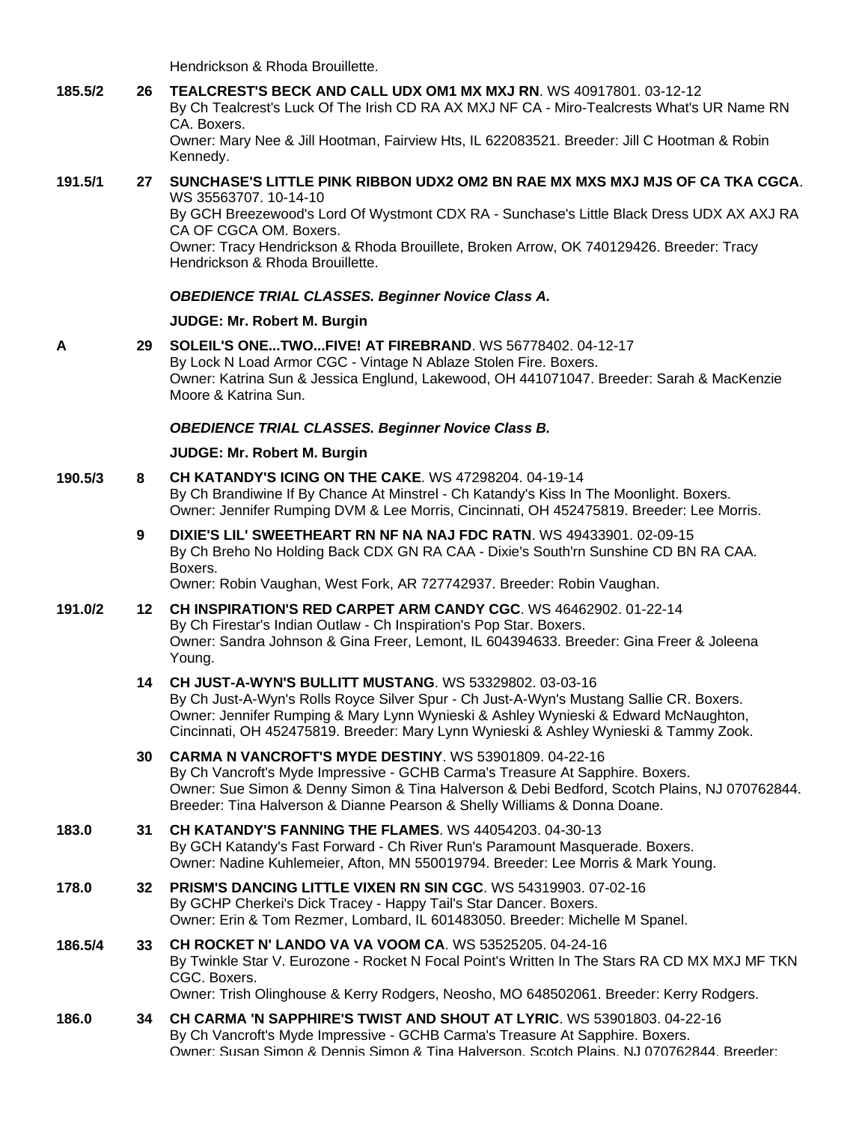Hendrickson & Rhoda Brouillette.

**185.5/2 26 [TEALCREST'S BECK AND CALL UDX OM1 MX MXJ RN](http://www.infodog.com/my/drlookup2.htm?makc=WS%2040917801&mdog=Tealcrest%27s+Beck+And+Call+UDX+OM1+MX+MXJ+RN&wins=all)**. WS 40917801. 03-12-12

By Ch Tealcrest's Luck Of The Irish CD RA AX MXJ NF CA - Miro-Tealcrests What's UR Name RN CA. Boxers.

Owner: Mary Nee & Jill Hootman, Fairview Hts, IL 622083521. Breeder: Jill C Hootman & Robin Kennedy.

### **191.5/1 27 [SUNCHASE'S LITTLE PINK RIBBON UDX2 OM2 BN RAE MX MXS MXJ MJS OF CA TKA CGCA](http://www.infodog.com/my/drlookup2.htm?makc=WS%2035563707&mdog=Sunchase%27s+Little+Pink+Ribbon+UDX2+OM2+BN+RAE+MX+MXS+MXJ+MJS+OF+CA+TKA+CGCA&wins=all)**. WS 35563707. 10-14-10

By GCH Breezewood's Lord Of Wystmont CDX RA - Sunchase's Little Black Dress UDX AX AXJ RA CA OF CGCA OM. Boxers.

Owner: Tracy Hendrickson & Rhoda Brouillete, Broken Arrow, OK 740129426. Breeder: Tracy Hendrickson & Rhoda Brouillette.

# *OBEDIENCE TRIAL CLASSES. Beginner Novice Class A.*

# **JUDGE: [Mr. Robert M. Burgin](http://www.infodog.com/show/judge/jdgprofile.htm?jn=18811)**

**A 29 [SOLEIL'S ONE...TWO...FIVE! AT FIREBRAND](http://www.infodog.com/my/drlookup2.htm?makc=WS%2056778402&mdog=Soleil%27s+One...Two...Five!+At+Firebrand&wins=all)**. WS 56778402. 04-12-17 By Lock N Load Armor CGC - Vintage N Ablaze Stolen Fire. Boxers. Owner: Katrina Sun & Jessica Englund, Lakewood, OH 441071047. Breeder: Sarah & MacKenzie Moore & Katrina Sun.

# *OBEDIENCE TRIAL CLASSES. Beginner Novice Class B.*

# **JUDGE: [Mr. Robert M. Burgin](http://www.infodog.com/show/judge/jdgprofile.htm?jn=18811)**

- **190.5/3 8 [CH KATANDY'S ICING ON THE CAKE](http://www.infodog.com/my/drlookup2.htm?makc=WS%2047298204&mdog=Ch+Katandy%27s+Icing+On+The+Cake&wins=all)**. WS 47298204. 04-19-14 By Ch Brandiwine If By Chance At Minstrel - Ch Katandy's Kiss In The Moonlight. Boxers. Owner: Jennifer Rumping DVM & Lee Morris, Cincinnati, OH 452475819. Breeder: Lee Morris.
	- **9 [DIXIE'S LIL' SWEETHEART RN NF NA NAJ FDC RATN](http://www.infodog.com/my/drlookup2.htm?makc=WS%2049433901&mdog=Dixie%27s+Lil%27+Sweetheart+RN+NF+NA+NAJ+FDC+RATN&wins=all)**. WS 49433901. 02-09-15 By Ch Breho No Holding Back CDX GN RA CAA - Dixie's South'rn Sunshine CD BN RA CAA. Boxers.

Owner: Robin Vaughan, West Fork, AR 727742937. Breeder: Robin Vaughan.

- **191.0/2 12 [CH INSPIRATION'S RED CARPET ARM CANDY CGC](http://www.infodog.com/my/drlookup2.htm?makc=WS%2046462902&mdog=Ch+Inspiration%27s+Red+Carpet+Arm+Candy+CGC&wins=all)**. WS 46462902. 01-22-14 By Ch Firestar's Indian Outlaw - Ch Inspiration's Pop Star. Boxers. Owner: Sandra Johnson & Gina Freer, Lemont, IL 604394633. Breeder: Gina Freer & Joleena Young.
	- **14 [CH JUST-A-WYN'S BULLITT MUSTANG](http://www.infodog.com/my/drlookup2.htm?makc=WS%2053329802&mdog=Ch+Just-A-Wyn%27s+Bullitt+Mustang&wins=all)**. WS 53329802. 03-03-16 By Ch Just-A-Wyn's Rolls Royce Silver Spur - Ch Just-A-Wyn's Mustang Sallie CR. Boxers. Owner: Jennifer Rumping & Mary Lynn Wynieski & Ashley Wynieski & Edward McNaughton, Cincinnati, OH 452475819. Breeder: Mary Lynn Wynieski & Ashley Wynieski & Tammy Zook.
	- **30 [CARMA N VANCROFT'S MYDE DESTINY](http://www.infodog.com/my/drlookup2.htm?makc=WS%2053901809&mdog=Carma+N+Vancroft%27s+Myde+Destiny&wins=all)**. WS 53901809. 04-22-16 By Ch Vancroft's Myde Impressive - GCHB Carma's Treasure At Sapphire. Boxers. Owner: Sue Simon & Denny Simon & Tina Halverson & Debi Bedford, Scotch Plains, NJ 070762844. Breeder: Tina Halverson & Dianne Pearson & Shelly Williams & Donna Doane.
- **183.0 31 [CH KATANDY'S FANNING THE](http://www.infodog.com/my/drlookup2.htm?makc=WS%2044054203&mdog=Ch+Katandy%27s+Fanning+The+Flames&wins=all) FLAMES**. WS 44054203. 04-30-13 By GCH Katandy's Fast Forward - Ch River Run's Paramount Masquerade. Boxers. Owner: Nadine Kuhlemeier, Afton, MN 550019794. Breeder: Lee Morris & Mark Young.
- **178.0 32 [PRISM'S DANCING LITTLE VIXEN RN SIN CGC](http://www.infodog.com/my/drlookup2.htm?makc=WS%2054319903&mdog=Prism%27s+Dancing+Little+Vixen+RN+SIN+CGC&wins=all)**. WS 54319903. 07-02-16 By GCHP Cherkei's Dick Tracey - Happy Tail's Star Dancer. Boxers. Owner: Erin & Tom Rezmer, Lombard, IL 601483050. Breeder: Michelle M Spanel.
- **186.5/4 33 [CH ROCKET N' LANDO VA VA VOOM CA](http://www.infodog.com/my/drlookup2.htm?makc=WS%2053525205&mdog=Ch+Rocket+N%27+Lando+Va+Va+Voom+CA&wins=all)**. WS 53525205. 04-24-16 By Twinkle Star V. Eurozone - Rocket N Focal Point's Written In The Stars RA CD MX MXJ MF TKN CGC. Boxers. Owner: Trish Olinghouse & Kerry Rodgers, Neosho, MO 648502061. Breeder: Kerry Rodgers.
- **186.0 34 [CH CARMA 'N SAPPHIRE'S TWIST AND SHOUT AT LYRIC](http://www.infodog.com/my/drlookup2.htm?makc=WS%2053901803&mdog=Ch+Carma+%27N+Sapphire%27s+Twist+And+Shout+At+Lyric&wins=all)**. WS 53901803. 04-22-16 By Ch Vancroft's Myde Impressive - GCHB Carma's Treasure At Sapphire. Boxers. Owner: Susan Simon & Dennis Simon & Tina Halverson, Scotch Plains, NJ 070762844. Breeder: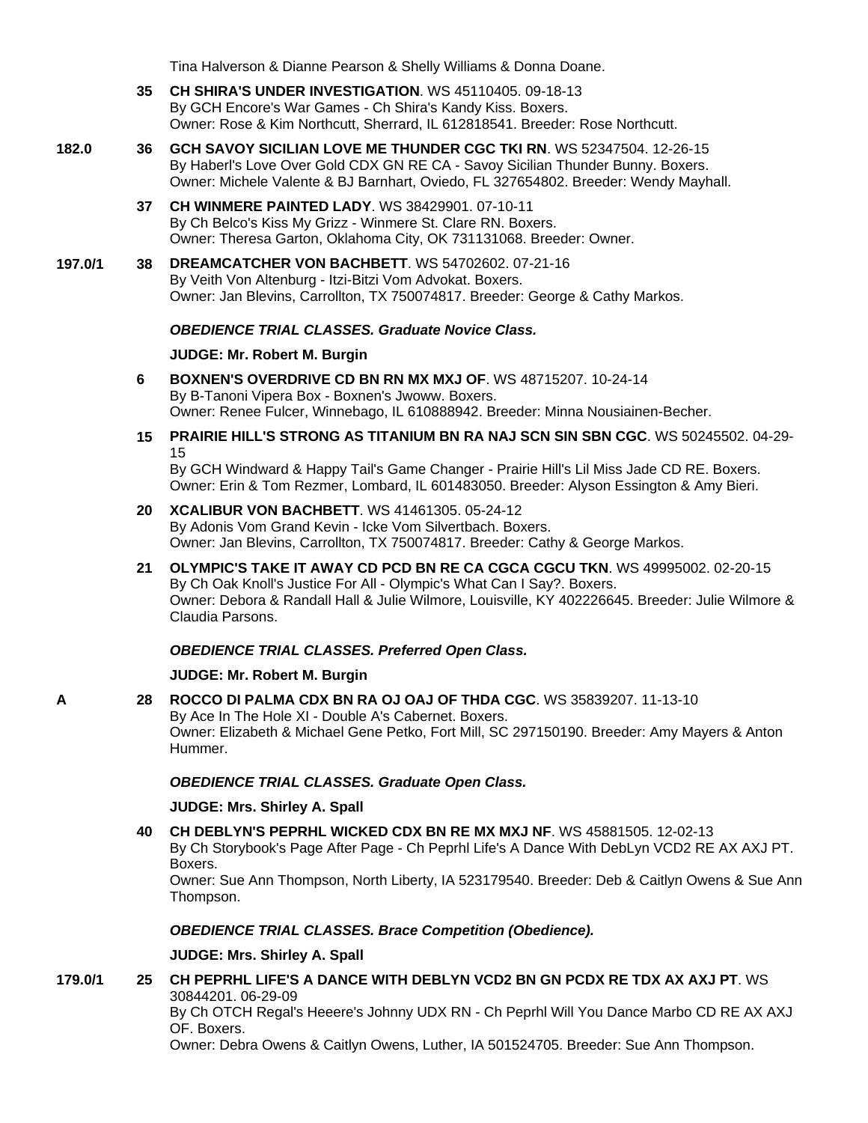Tina Halverson & Dianne Pearson & Shelly Williams & Donna Doane.

- **35 [CH SHIRA'S UNDER INVESTIGATION](http://www.infodog.com/my/drlookup2.htm?makc=WS%2045110405&mdog=Ch+Shira%27s+Under+Investigation&wins=all)**. WS 45110405. 09-18-13 By GCH Encore's War Games - Ch Shira's Kandy Kiss. Boxers. Owner: Rose & Kim Northcutt, Sherrard, IL 612818541. Breeder: Rose Northcutt.
- **182.0 36 [GCH SAVOY SICILIAN LOVE ME THUNDER CGC TKI RN](http://www.infodog.com/my/drlookup2.htm?makc=WS%2052347504&mdog=GCH+Savoy+Sicilian+Love+Me+Thunder+CGC+TKI+RN&wins=all)**. WS 52347504. 12-26-15 By Haberl's Love Over Gold CDX GN RE CA - Savoy Sicilian Thunder Bunny. Boxers. Owner: Michele Valente & BJ Barnhart, Oviedo, FL 327654802. Breeder: Wendy Mayhall.
	- **37 [CH WINMERE PAINTED LADY](http://www.infodog.com/my/drlookup2.htm?makc=WS%2038429901&mdog=Ch+Winmere+Painted+Lady&wins=all)**. WS 38429901. 07-10-11 By Ch Belco's Kiss My Grizz - Winmere St. Clare RN. Boxers. Owner: Theresa Garton, Oklahoma City, OK 731131068. Breeder: Owner.
- **197.0/1 38 [DREAMCATCHER VON BACHBETT](http://www.infodog.com/my/drlookup2.htm?makc=WS%2054702602&mdog=Dreamcatcher+Von+Bachbett&wins=all)**. WS 54702602. 07-21-16 By Veith Von Altenburg - Itzi-Bitzi Vom Advokat. Boxers. Owner: Jan Blevins, Carrollton, TX 750074817. Breeder: George & Cathy Markos.

### *OBEDIENCE TRIAL CLASSES. Graduate Novice Class.*

#### **JUDGE: [Mr. Robert M. Burgin](http://www.infodog.com/show/judge/jdgprofile.htm?jn=18811)**

- **6 [BOXNEN'S OVERDRIVE CD BN RN MX MXJ OF](http://www.infodog.com/my/drlookup2.htm?makc=WS%2048715207&mdog=Boxnen%27s+Overdrive+CD+BN+RN+MX+MXJ+OF&wins=all)**. WS 48715207. 10-24-14 By B-Tanoni Vipera Box - Boxnen's Jwoww. Boxers. Owner: Renee Fulcer, Winnebago, IL 610888942. Breeder: Minna Nousiainen-Becher.
- **15 [PRAIRIE HILL'S STRONG AS TITANIUM BN RA NAJ SCN SIN SBN CGC](http://www.infodog.com/my/drlookup2.htm?makc=WS%2050245502&mdog=Prairie+Hill%27s+Strong+As+Titanium+BN+RA+NAJ+SCN+SIN+SBN+CGC&wins=all)**. WS 50245502. 04-29- 15

By GCH Windward & Happy Tail's Game Changer - Prairie Hill's Lil Miss Jade CD RE. Boxers. Owner: Erin & Tom Rezmer, Lombard, IL 601483050. Breeder: Alyson Essington & Amy Bieri.

- **20 [XCALIBUR VON BACHBETT](http://www.infodog.com/my/drlookup2.htm?makc=WS%2041461305&mdog=Xcalibur+Von+Bachbett&wins=all)**. WS 41461305. 05-24-12 By Adonis Vom Grand Kevin - Icke Vom Silvertbach. Boxers. Owner: Jan Blevins, Carrollton, TX 750074817. Breeder: Cathy & George Markos.
- **21 [OLYMPIC'S TAKE IT AWAY CD PCD BN RE CA CGCA CGCU TKN](http://www.infodog.com/my/drlookup2.htm?makc=WS%2049995002&mdog=Olympic%27s+Take+It+Away+CD+PCD+BN+RE+CA+CGCA+CGCU+TKN&wins=all)**. WS 49995002. 02-20-15 By Ch Oak Knoll's Justice For All - Olympic's What Can I Say?. Boxers. Owner: Debora & Randall Hall & Julie Wilmore, Louisville, KY 402226645. Breeder: Julie Wilmore & Claudia Parsons.

### *OBEDIENCE TRIAL CLASSES. Preferred Open Class.*

### **JUDGE: [Mr. Robert M. Burgin](http://www.infodog.com/show/judge/jdgprofile.htm?jn=18811)**

**A 28 [ROCCO DI PALMA CDX BN RA OJ OAJ OF THDA CGC](http://www.infodog.com/my/drlookup2.htm?makc=WS%2035839207&mdog=Rocco+Di+Palma+CDX+BN+RA+OJ+OAJ+OF+THDA+CGC&wins=all)**. WS 35839207. 11-13-10 By Ace In The Hole XI - Double A's Cabernet. Boxers. Owner: Elizabeth & Michael Gene Petko, Fort Mill, SC 297150190. Breeder: Amy Mayers & Anton Hummer.

### *OBEDIENCE TRIAL CLASSES. Graduate Open Class.*

### **JUDGE: [Mrs. Shirley A. Spall](http://www.infodog.com/show/judge/jdgprofile.htm?jn=39543)**

**40 [CH DEBLYN'S PEPRHL WICKED CDX BN RE MX MXJ NF](http://www.infodog.com/my/drlookup2.htm?makc=WS%2045881505&mdog=Ch+DebLyn%27s+Peprhl+Wicked+CDX+BN+RE+MX+MXJ+NF&wins=all)**. WS 45881505. 12-02-13 By Ch Storybook's Page After Page - Ch Peprhl Life's A Dance With DebLyn VCD2 RE AX AXJ PT. Boxers.

Owner: Sue Ann Thompson, North Liberty, IA 523179540. Breeder: Deb & Caitlyn Owens & Sue Ann Thompson.

### *OBEDIENCE TRIAL CLASSES. Brace Competition (Obedience).*

**JUDGE: [Mrs. Shirley A. Spall](http://www.infodog.com/show/judge/jdgprofile.htm?jn=39543)**

**179.0/1 25 [CH PEPRHL LIFE'S A DANCE WITH DEBLYN VCD2 BN GN PCDX RE TDX AX AXJ PT](http://www.infodog.com/my/drlookup2.htm?makc=WS%2030844201&mdog=Ch+Peprhl+Life%27s+A+Dance+With+DebLyn+VCD2+BN+GN+PCDX+RE+TDX+AX+AXJ+PT&wins=all)**. WS 30844201. 06-29-09 By Ch OTCH Regal's Heeere's Johnny UDX RN - Ch Peprhl Will You Dance Marbo CD RE AX AXJ OF. Boxers.

Owner: Debra Owens & Caitlyn Owens, Luther, IA 501524705. Breeder: Sue Ann Thompson.